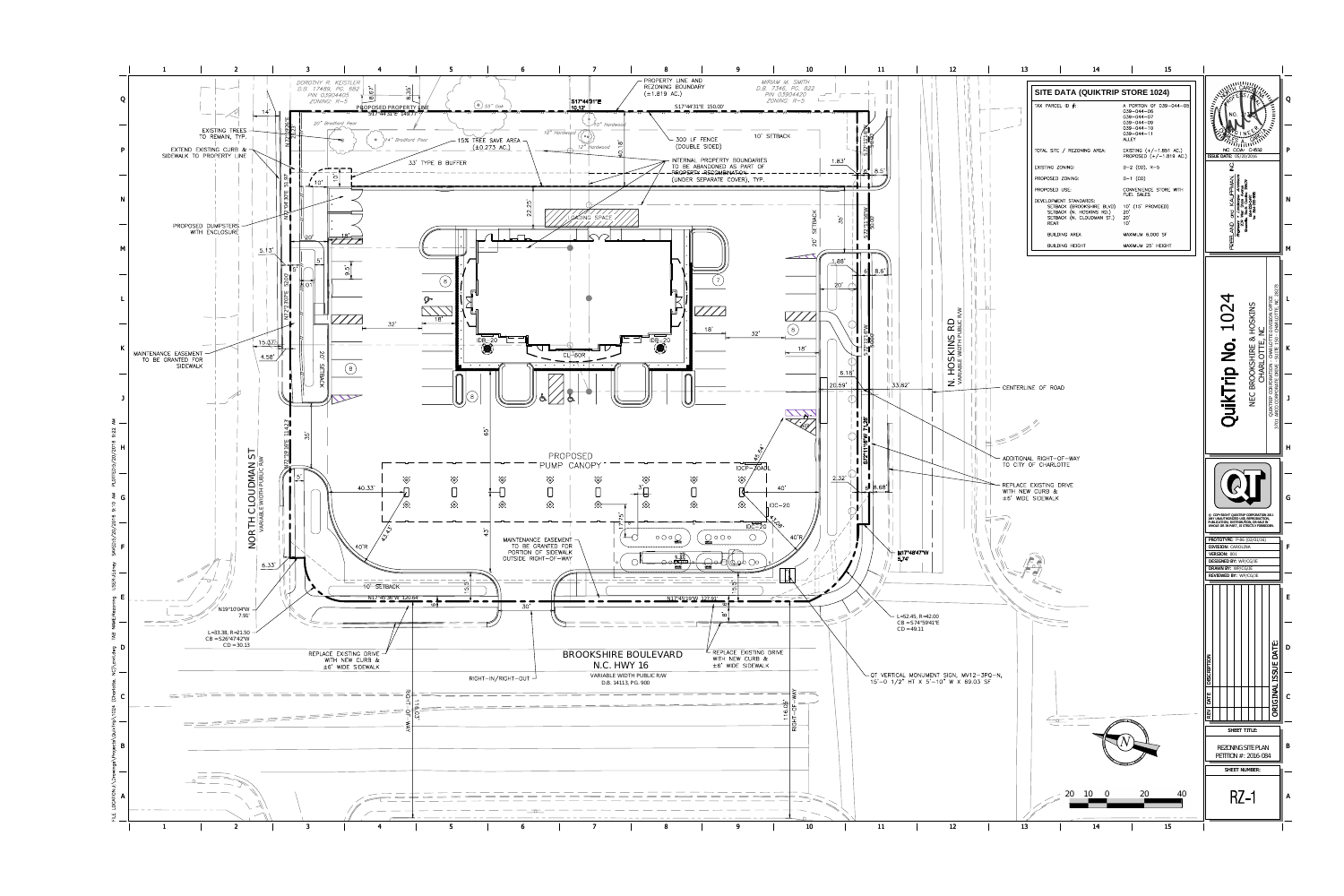